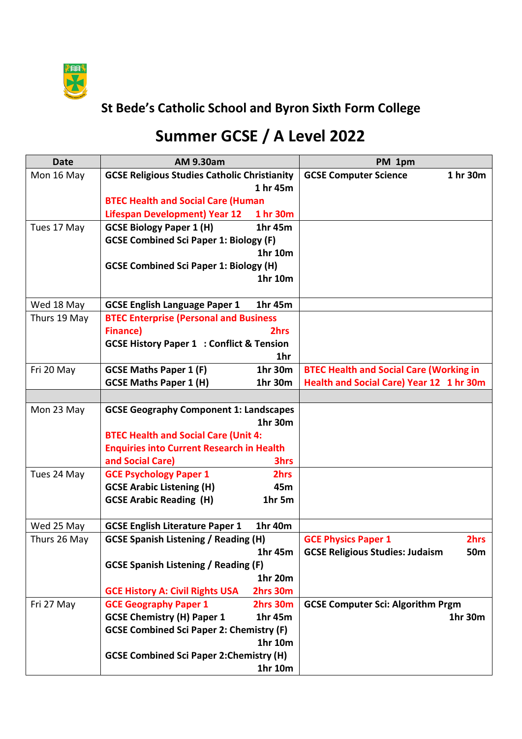

## **St Bede's Catholic School and Byron Sixth Form College**

## **Summer GCSE / A Level 2022**

| <b>Date</b>  | <b>AM 9.30am</b>                                                                         | PM 1pm                                              |
|--------------|------------------------------------------------------------------------------------------|-----------------------------------------------------|
| Mon 16 May   | <b>GCSE Religious Studies Catholic Christianity</b>                                      | 1 hr 30m<br><b>GCSE Computer Science</b>            |
|              | 1 hr 45m                                                                                 |                                                     |
|              | <b>BTEC Health and Social Care (Human</b>                                                |                                                     |
|              | <b>Lifespan Development) Year 12</b><br>1 hr 30m                                         |                                                     |
| Tues 17 May  | <b>GCSE Biology Paper 1 (H)</b><br>1hr 45m                                               |                                                     |
|              | <b>GCSE Combined Sci Paper 1: Biology (F)</b>                                            |                                                     |
|              | 1hr 10m                                                                                  |                                                     |
|              | <b>GCSE Combined Sci Paper 1: Biology (H)</b>                                            |                                                     |
|              | 1hr 10m                                                                                  |                                                     |
|              |                                                                                          |                                                     |
| Wed 18 May   | <b>GCSE English Language Paper 1</b><br>1hr 45m                                          |                                                     |
| Thurs 19 May | <b>BTEC Enterprise (Personal and Business</b>                                            |                                                     |
|              | <b>Finance</b> )<br>2hrs                                                                 |                                                     |
|              | <b>GCSE History Paper 1 : Conflict &amp; Tension</b>                                     |                                                     |
|              | 1hr                                                                                      |                                                     |
| Fri 20 May   | 1hr 30m<br><b>GCSE Maths Paper 1 (F)</b>                                                 | <b>BTEC Health and Social Care (Working in</b>      |
|              | <b>GCSE Maths Paper 1 (H)</b><br>1hr 30m                                                 | Health and Social Care) Year 12 1 hr 30m            |
|              |                                                                                          |                                                     |
| Mon 23 May   | <b>GCSE Geography Component 1: Landscapes</b>                                            |                                                     |
|              | 1hr 30m                                                                                  |                                                     |
|              | <b>BTEC Health and Social Care (Unit 4:</b>                                              |                                                     |
|              | <b>Enquiries into Current Research in Health</b>                                         |                                                     |
|              | and Social Care)<br><b>3hrs</b>                                                          |                                                     |
| Tues 24 May  | <b>GCE Psychology Paper 1</b><br>2hrs                                                    |                                                     |
|              | <b>GCSE Arabic Listening (H)</b><br>45m                                                  |                                                     |
|              | <b>GCSE Arabic Reading (H)</b><br>1hr 5m                                                 |                                                     |
|              |                                                                                          |                                                     |
| Wed 25 May   | <b>GCSE English Literature Paper 1</b><br>1hr 40m                                        |                                                     |
| Thurs 26 May | <b>GCSE Spanish Listening / Reading (H)</b>                                              | <b>GCE Physics Paper 1</b><br>2hrs                  |
|              | 1hr 45m                                                                                  | <b>GCSE Religious Studies: Judaism</b><br>50m       |
|              | <b>GCSE Spanish Listening / Reading (F)</b><br>1hr 20m                                   |                                                     |
|              |                                                                                          |                                                     |
|              | <b>GCE History A: Civil Rights USA</b><br>2hrs 30m                                       |                                                     |
| Fri 27 May   | <b>GCE Geography Paper 1</b><br>2hrs 30m<br><b>GCSE Chemistry (H) Paper 1</b><br>1hr 45m | <b>GCSE Computer Sci: Algorithm Prgm</b><br>1hr 30m |
|              |                                                                                          |                                                     |
|              | <b>GCSE Combined Sci Paper 2: Chemistry (F)</b><br>1hr 10m                               |                                                     |
|              | <b>GCSE Combined Sci Paper 2: Chemistry (H)</b>                                          |                                                     |
|              | 1hr 10m                                                                                  |                                                     |
|              |                                                                                          |                                                     |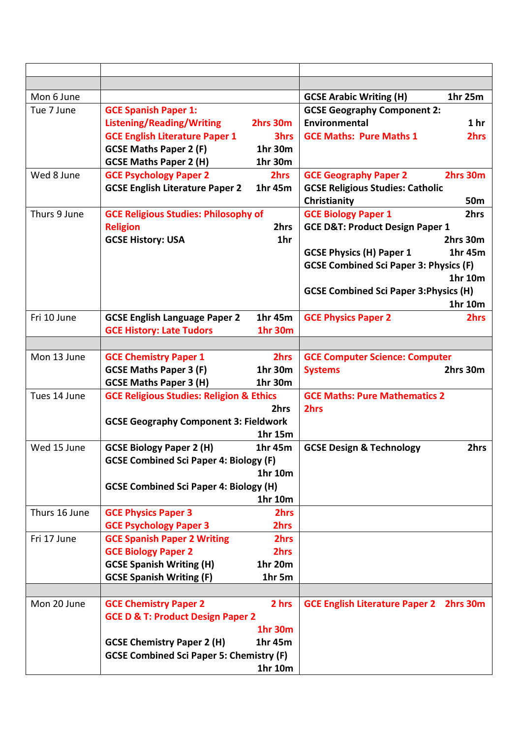| Mon 6 June    |                                                                          | 1hr 25m<br><b>GCSE Arabic Writing (H)</b>         |
|---------------|--------------------------------------------------------------------------|---------------------------------------------------|
| Tue 7 June    | <b>GCE Spanish Paper 1:</b>                                              | <b>GCSE Geography Component 2:</b>                |
|               | <b>Listening/Reading/Writing</b><br>2hrs 30m                             | Environmental<br>1 <sub>hr</sub>                  |
|               | <b>GCE English Literature Paper 1</b><br>3hrs                            | 2hrs<br><b>GCE Maths: Pure Maths 1</b>            |
|               | <b>GCSE Maths Paper 2 (F)</b><br>1hr 30m                                 |                                                   |
|               | <b>GCSE Maths Paper 2 (H)</b><br>1hr 30m                                 |                                                   |
| Wed 8 June    | <b>GCE Psychology Paper 2</b><br>2hrs                                    | 2hrs 30m<br><b>GCE Geography Paper 2</b>          |
|               | <b>GCSE English Literature Paper 2</b><br>1hr 45m                        | <b>GCSE Religious Studies: Catholic</b>           |
|               |                                                                          | Christianity<br>50 <sub>m</sub>                   |
| Thurs 9 June  | <b>GCE Religious Studies: Philosophy of</b>                              | 2hrs<br><b>GCE Biology Paper 1</b>                |
|               | 2hrs<br><b>Religion</b>                                                  | <b>GCE D&amp;T: Product Design Paper 1</b>        |
|               | 1hr<br><b>GCSE History: USA</b>                                          | 2hrs 30m                                          |
|               |                                                                          | <b>GCSE Physics (H) Paper 1</b><br>1hr 45m        |
|               |                                                                          | <b>GCSE Combined Sci Paper 3: Physics (F)</b>     |
|               |                                                                          | 1hr 10m                                           |
|               |                                                                          | <b>GCSE Combined Sci Paper 3: Physics (H)</b>     |
|               |                                                                          | 1hr 10m                                           |
| Fri 10 June   | 1hr 45m<br><b>GCSE English Language Paper 2</b>                          | <b>GCE Physics Paper 2</b><br>2hrs                |
|               | <b>GCE History: Late Tudors</b><br><b>1hr 30m</b>                        |                                                   |
|               |                                                                          |                                                   |
| Mon 13 June   | 2hrs<br><b>GCE Chemistry Paper 1</b>                                     | <b>GCE Computer Science: Computer</b>             |
|               | <b>GCSE Maths Paper 3 (F)</b><br>1hr 30m                                 | 2hrs 30m<br><b>Systems</b>                        |
|               | <b>GCSE Maths Paper 3 (H)</b><br>1hr 30m                                 |                                                   |
| Tues 14 June  | <b>GCE Religious Studies: Religion &amp; Ethics</b>                      | <b>GCE Maths: Pure Mathematics 2</b>              |
|               | 2hrs                                                                     | 2hrs                                              |
|               | <b>GCSE Geography Component 3: Fieldwork</b>                             |                                                   |
|               | 1hr 15m                                                                  |                                                   |
| Wed 15 June   | <b>GCSE Biology Paper 2 (H)</b><br>1hr 45m                               | <b>GCSE Design &amp; Technology</b><br>2hrs       |
|               | <b>GCSE Combined Sci Paper 4: Biology (F)</b>                            |                                                   |
|               | 1hr 10m                                                                  |                                                   |
|               | <b>GCSE Combined Sci Paper 4: Biology (H)</b>                            |                                                   |
|               | 1hr 10m                                                                  |                                                   |
| Thurs 16 June | <b>GCE Physics Paper 3</b><br>2hrs<br>2hrs                               |                                                   |
| Fri 17 June   | <b>GCE Psychology Paper 3</b><br>2hrs                                    |                                                   |
|               | <b>GCE Spanish Paper 2 Writing</b><br><b>GCE Biology Paper 2</b><br>2hrs |                                                   |
|               | <b>GCSE Spanish Writing (H)</b><br>1hr 20m                               |                                                   |
|               | <b>GCSE Spanish Writing (F)</b><br>1hr 5m                                |                                                   |
|               |                                                                          |                                                   |
| Mon 20 June   | <b>GCE Chemistry Paper 2</b><br>2 hrs                                    | <b>GCE English Literature Paper 2</b><br>2hrs 30m |
|               | <b>GCE D &amp; T: Product Design Paper 2</b>                             |                                                   |
|               | <b>1hr 30m</b>                                                           |                                                   |
|               | <b>GCSE Chemistry Paper 2 (H)</b><br>1hr 45m                             |                                                   |
|               | <b>GCSE Combined Sci Paper 5: Chemistry (F)</b>                          |                                                   |
|               | 1hr 10m                                                                  |                                                   |
|               |                                                                          |                                                   |